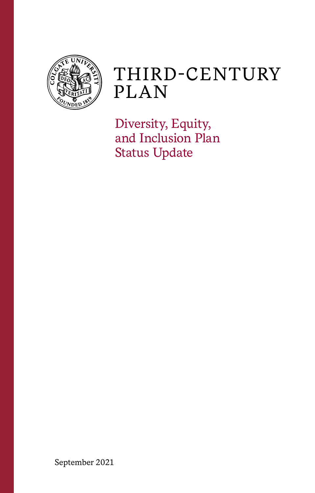

# THIRD-CENTURY **PLAN**

Diversity, Equity, and Inclusion Plan Status Update

September 2021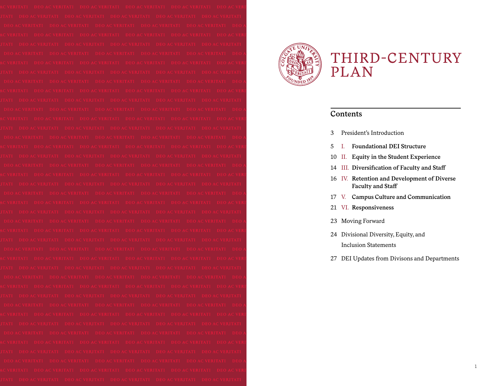

# THIRD-CENTURY **PLAN**

# **Contents**

- President's Introduction
- I. **Foundational DEI Structure**
- II. **Equity in the Student Experience**
- III. **Diversification of Faculty and Staff**
- IV. **Retention and Development of Diverse Faculty and Staff**
- V. **Campus Culture and Communication**
- VI. **Responsiveness**
- Moving Forward
- Divisional Diversity, Equity, and Inclusion Statements
- DEI Updates from Divisons and Departments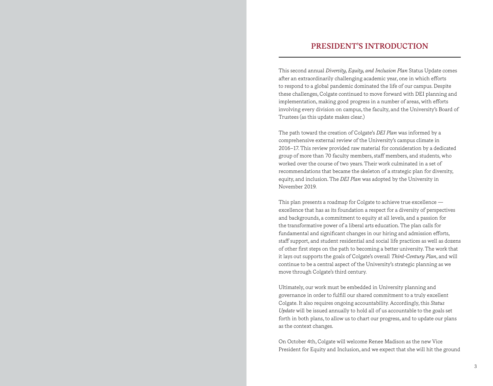# **PRESIDENT'S INTRODUCTION**

This second annual *Diversity, Equity, and Inclusion Plan* Status Update comes after an extraordinarily challenging academic year, one in which efforts to respond to a global pandemic dominated the life of our campus. Despite these challenges, Colgate continued to move forward with DEI planning and implementation, making good progress in a number of areas, with efforts involving every division on campus, the faculty, and the University's Board of Trustees (as this update makes clear.)

The path toward the creation of Colgate's *DEI Plan* was informed by a comprehensive external review of the University's campus climate in 2016–17. This review provided raw material for consideration by a dedicated group of more than 70 faculty members, staff members, and students, who worked over the course of two years. Their work culminated in a set of recommendations that became the skeleton of a strategic plan for diversity, equity, and inclusion. The *DEI Plan* was adopted by the University in November 2019.

This plan presents a roadmap for Colgate to achieve true excellence excellence that has as its foundation a respect for a diversity of perspectives and backgrounds, a commitment to equity at all levels, and a passion for the transformative power of a liberal arts education. The plan calls for fundamental and significant changes in our hiring and admission efforts, staff support, and student residential and social life practices as well as dozens of other first steps on the path to becoming a better university. The work that it lays out supports the goals of Colgate's overall *Third-Century Plan*, and will continue to be a central aspect of the University's strategic planning as we move through Colgate's third century.

Ultimately, our work must be embedded in University planning and governance in order to fulfill our shared commitment to a truly excellent Colgate. It also requires ongoing accountability. Accordingly, this *Status Update* will be issued annually to hold all of us accountable to the goals set forth in both plans, to allow us to chart our progress, and to update our plans as the context changes.

On October 4th, Colgate will welcome Renee Madison as the new Vice President for Equity and Inclusion, and we expect that she will hit the ground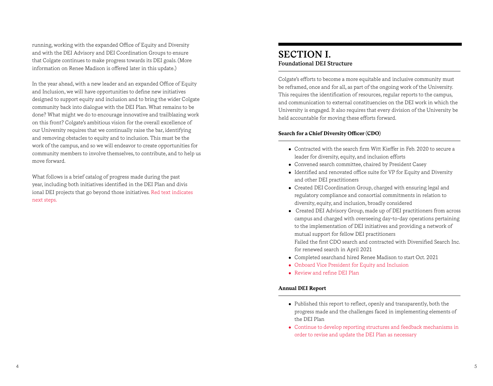running, working with the expanded Office of Equity and Diversity and with the DEI Advisory and DEI Coordination Groups to ensure that Colgate continues to make progress towards its DEI goals. (More information on Renee Madison is offered later in this update.)

In the year ahead, with a new leader and an expanded Office of Equity and Inclusion, we will have opportunities to define new initiatives designed to support equity and inclusion and to bring the wider Colgate community back into dialogue with the DEI Plan. What remains to be done? What might we do to encourage innovative and trailblazing work on this front? Colgate's ambitious vision for the overall excellence of our University requires that we continually raise the bar, identifying and removing obstacles to equity and to inclusion. This must be the work of the campus, and so we will endeavor to create opportunities for community members to involve themselves, to contribute, and to help us move forward.

What follows is a brief catalog of progress made during the past year, including both initiatives identified in the DEI Plan and divis ional DEI projects that go beyond those initiatives. Red text indicates next steps.

# **SECTION I. Foundational DEI Structure**

Colgate's efforts to become a more equitable and inclusive community must be reframed, once and for all, as part of the ongoing work of the University. This requires the identification of resources, regular reports to the campus, and communication to external constituencies on the DEI work in which the University is engaged. It also requires that every division of the University be held accountable for moving these efforts forward.

# **Search for a Chief Diversity Officer (CDO)**

- Contracted with the search firm Witt Kieffer in Feb. 2020 to secure a leader for diversity, equity, and inclusion efforts
- Convened search committee, chaired by President Casey
- Identified and renovated office suite for VP for Equity and Diversity and other DEI practitioners
- Created DEI Coordination Group, charged with ensuring legal and regulatory compliance and consortial commitments in relation to diversity, equity, and inclusion, broadly considered
- Created DEI Advisory Group, made up of DEI practitioners from across campus and charged with overseeing day-to-day operations pertaining to the implementation of DEI initiatives and providing a network of mutual support for fellow DEI practitioners Failed the first CDO search and contracted with Diversified Search Inc. for renewed search in April 2021
- Completed searchand hired Renee Madison to start Oct. 2021
- Onboard Vice President for Equity and Inclusion
- Review and refine DEI Plan

# **Annual DEI Report**

- Published this report to reflect, openly and transparently, both the progress made and the challenges faced in implementing elements of the DEI Plan
- Continue to develop reporting structures and feedback mechanisms in order to revise and update the DEI Plan as necessary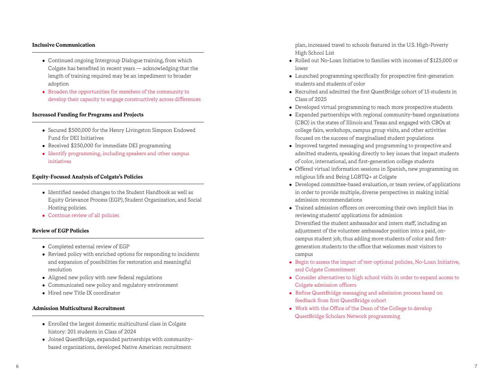### **Inclusive Communication**

- Continued ongoing Intergroup Dialogue training, from which Colgate has benefited in recent years — acknowledging that the length of training required may be an impediment to broader adoption
- Broaden the opportunities for members of the community to develop their capacity to engage constructively across differences

### **Increased Funding for Programs and Projects**

- Secured \$500,000 for the Henry Livingston Simpson Endowed Fund for DEI Initiatives
- Received \$250,000 for immediate DEI programming
- Identify programming, including speakers and other campus initiatives

### **Equity-Focused Analysis of Colgate's Policies**

- Identified needed changes to the Student Handbook as well as Equity Grievance Process (EGP), Student Organization, and Social Hosting policies.
- Continue review of all policies

### **Review of EGP Policies**

- Completed external review of EGP
- Revised policy with enriched options for responding to incidents and expansion of possibilities for restoration and meaningful resolution
- Aligned new policy with new federal regulations
- Communicated new policy and regulatory environment
- Hired new Title IX coordinator

### **Admission Multicultural Recruitment**

- Enrolled the largest domestic multicultural class in Colgate history: 201 students in Class of 2024
- Joined QuestBridge, expanded partnerships with communitybased organizations, developed Native American recruitment

plan, increased travel to schools featured in the U.S. High-Poverty High School List

- Rolled out No-Loan Initiative to families with incomes of \$125,000 or lower
- Launched programming specifically for prospective first-generation students and students of color
- Recruited and admitted the first QuestBridge cohort of 15 students in Class of 2025
- Developed virtual programming to reach more prospective students
- $\bullet$  Expanded partnerships with regional community-based organizations (CBO) in the states of Illinois and Texas and engaged with CBOs at college fairs, workshops, campus group visits, and other activities focused on the success of marginalized student populations
- Improved targeted messaging and programming to prospective and admitted students, speaking directly to key issues that impact students of color, international, and first-generation college students
- Offered virtual information sessions in Spanish, new programming on religious life and Being LGBTQ+ at Colgate
- Developed committee-based evaluation, or team review, of applications in order to provide multiple, diverse perspectives in making initial admission recommendations
- Trained admission officers on overcoming their own implicit bias in reviewing students' applications for admission Diversified the student ambassador and intern staff, including an adjustment of the volunteer ambassador position into a paid, oncampus student job, thus adding more students of color and firstgeneration students to the office that welcomes most visitors to campus
- $\bullet$  Begin to assess the impact of test-optional policies, No-Loan Initiative, and Colgate Commitment
- Consider alternatives to high school visits in order to expand access to Colgate admission officers
- Refine QuestBridge messaging and admission process based on feedback from first QuestBridge cohort
- Work with the Office of the Dean of the College to develop QuestBridge Scholars Network programming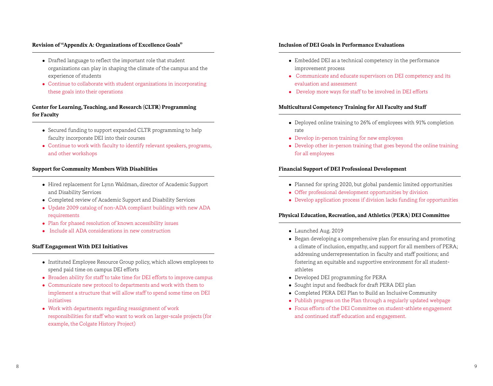# **Revision of "Appendix A: Organizations of Excellence Goals"**

- Drafted language to reflect the important role that student organizations can play in shaping the climate of the campus and the experience of students
- Continue to collaborate with student organizations in incorporating these goals into their operations

# **Center for Learning, Teaching, and Research (CLTR) Programming for Faculty**

- Secured funding to support expanded CLTR programming to help faculty incorporate DEI into their courses
- Continue to work with faculty to identify relevant speakers, programs, and other workshops

# **Support for Community Members With Disabilities**

- Hired replacement for Lynn Waldman, director of Academic Support and Disability Services
- Completed review of Academic Support and Disability Services
- Update 2009 catalog of non-ADA compliant buildings with new ADA requirements
- Plan for phased resolution of known accessibility issues
- Include all ADA considerations in new construction

### **Staff Engagement With DEI Initiatives**

- Instituted Employee Resource Group policy, which allows employees to spend paid time on campus DEI efforts
- Broaden ability for staff to take time for DEI efforts to improve campus
- Communicate new protocol to departments and work with them to implement a structure that will allow staff to spend some time on DEI initiatives
- Work with departments regarding reassignment of work responsibilities for staff who want to work on larger-scale projects (for example, the Colgate History Project)

### **Inclusion of DEI Goals in Performance Evaluations**

- Embedded DEI as a technical competency in the performance improvement process
- Communicate and educate supervisors on DEI competency and its evaluation and assessment
- Develop more ways for staff to be involved in DEI efforts

### **Multicultural Competency Training for All Faculty and Staff**

- Deployed online training to 26% of employees with 91% completion rate
- Develop in-person training for new employees
- Develop other in-person training that goes beyond the online training for all employees

# **Financial Support of DEI Professional Development**

- Planned for spring 2020, but global pandemic limited opportunities
- Offer professional development opportunities by division
- Develop application process if division lacks funding for opportunities

# **Physical Education, Recreation, and Athletics (PERA) DEI Committee**

- Launched Aug. 2019
- Began developing a comprehensive plan for ensuring and promoting a climate of inclusion, empathy, and support for all members of PERA; addressing underrepresentation in faculty and staff positions; and fostering an equitable and supportive environment for all studentathletes
- Developed DEI programming for PERA
- Sought input and feedback for draft PERA DEI plan
- Completed PERA DEI Plan to Build an Inclusive Community
- Publish progress on the Plan through a regularly updated webpage
- Focus efforts of the DEI Committee on student-athlete engagement and continued staff education and engagement.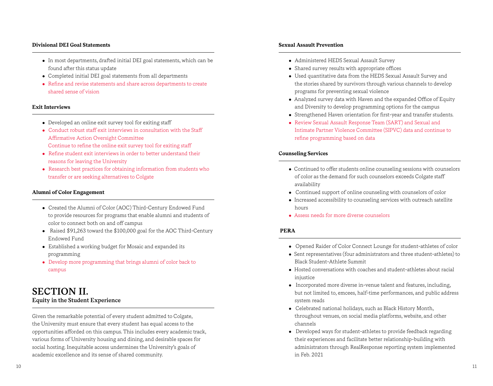### **Divisional DEI Goal Statements**

- In most departments, drafted initial DEI goal statements, which can be found after this status update
- Completed initial DEI goal statements from all departments
- Refine and revise statements and share across departments to create shared sense of vision

### **Exit Interviews**

- Developed an online exit survey tool for exiting staff
- Conduct robust staff exit interviews in consultation with the Staff Affirmative Action Oversight Committee Continue to refine the online exit survey tool for exiting staff
- Refine student exit interviews in order to better understand their reasons for leaving the University
- Research best practices for obtaining information from students who transfer or are seeking alternatives to Colgate

# **Alumni of Color Engagement**

- Created the Alumni of Color (AOC) Third-Century Endowed Fund to provide resources for programs that enable alumni and students of color to connect both on and off campus
- Raised \$91,263 toward the \$100,000 goal for the AOC Third-Century Endowed Fund
- Established a working budget for Mosaic and expanded its programming
- Develop more programming that brings alumni of color back to campus

# **SECTION II. Equity in the Student Experience**

Given the remarkable potential of every student admitted to Colgate, the University must ensure that every student has equal access to the opportunities afforded on this campus. This includes every academic track, various forms of University housing and dining, and desirable spaces for social hosting. Inequitable access undermines the University's goals of academic excellence and its sense of shared community.

## **Sexual Assault Prevention**

- Administered HEDS Sexual Assault Survey
- Shared survey results with appropriate offices
- Used quantitative data from the HEDS Sexual Assault Survey and the stories shared by survivors through various channels to develop programs for preventing sexual violence
- Analyzed survey data with Haven and the expanded Office of Equity and Diversity to develop programming options for the campus
- Strengthened Haven orientation for first-year and transfer students.
- Review Sexual Assault Response Team (SART) and Sexual and Intimate Partner Violence Committee (SIPVC) data and continue to refine programming based on data

# **Counseling Services**

- Continued to offer students online counseling sessions with counselors of color as the demand for such counselors exceeds Colgate staff availability
- Continued support of online counseling with counselors of color
- Increased accessibility to counseling services with outreach satellite hours
- Assess needs for more diverse counselors

# **PERA**

- Opened Raider of Color Connect Lounge for student-athletes of color
- Sent representatives (four administrators and three student-athletes) to Black Student-Athlete Summit
- Hosted conversations with coaches and student-athletes about racial injustice
- $\bullet$  Incorporated more diverse in-venue talent and features, including, but not limited to, emcees, half-time performances, and public address system reads
- Celebrated national holidays, such as Black History Month, throughout venues, on social media platforms, website, and other channels
- Developed ways for student-athletes to provide feedback regarding their experiences and facilitate better relationship-building with administrators through RealResponse reporting system implemented in Feb. 2021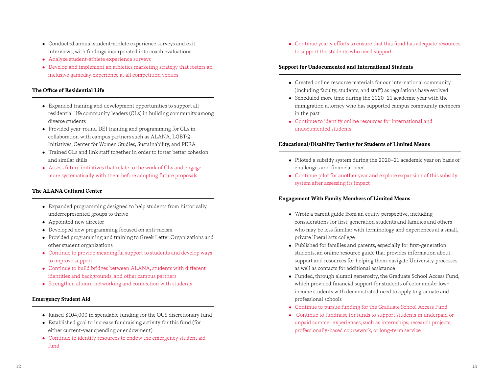- Conducted annual student-athlete experience surveys and exit interviews, with findings incorporated into coach evaluations
- Analyze student-athlete experience surveys
- Develop and implement an athletics marketing strategy that fosters an inclusive gameday experience at all competition venues

# **The Office of Residential Life**

- Expanded training and development opportunities to support all residential life community leaders (CLs) in building community among diverse students
- Provided year-round DEI training and programming for CLs in collaboration with campus partners such as ALANA, LGBTQ+ Initiatives, Center for Women Studies, Sustainability, and PERA
- Trained CLs and link staff together in order to foster better cohesion and similar skills
- Assess future initiatives that relate to the work of CLs and engage more systematically with them before adopting future proposals

# **The ALANA Cultural Center**

- Expanded programming designed to help students from historically underrepresented groups to thrive
- Appointed new director
- Developed new programming focused on anti-racism
- Provided programming and training to Greek Letter Organizations and other student organizations
- Continue to provide meaningful support to students and develop ways to improve support
- Continue to build bridges between ALANA, students with different identities and backgrounds, and other campus partners
- Strengthen alumni networking and connection with students

# **Emergency Student Aid**

- Raised \$104,000 in spendable funding for the OUS discretionary fund
- Established goal to increase fundraising activity for this fund (for either current-year spending or endowment)
- Continue to identify resources to endow the emergency student aid fund

• Continue yearly efforts to ensure that this fund has adequate resources to support the students who need support

# **Support for Undocumented and International Students**

- Created online resource materials for our international community (including faculty, students, and staff) as regulations have evolved
- Scheduled more time during the 2020–21 academic year with the immigration attorney who has supported campus community members in the past
- Continue to identify online resources for international and undocumented students

# **Educational/Disability Testing for Students of Limited Means**

- Piloted a subsidy system during the 2020-21 academic year on basis of challenges and financial need
- Continue pilot for another year and explore expansion of this subsidy system after assessing its impact

# **Engagement With Family Members of Limited Means**

- Wrote a parent guide from an equity perspective, including considerations for first-generation students and families and others who may be less familiar with terminology and experiences at a small, private liberal arts college
- Published for families and parents, especially for first-generation students, an online resource guide that provides information about support and resources for helping them navigate University processes as well as contacts for additional assistance
- Funded, through alumni generosity, the Graduate School Access Fund, which provided financial support for students of color and/or lowincome students with demonstrated need to apply to graduate and professional schools
- Continue to pursue funding for the Graduate School Access Fund
- Continue to fundraise for funds to support students in underpaid or unpaid summer experiences, such as internships, research projects, professionally-based coursework, or long-term service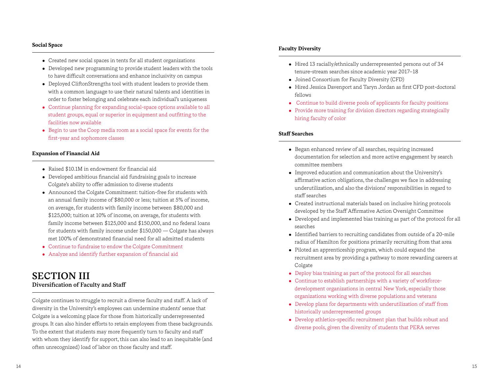### **Social Space**

- Created new social spaces in tents for all student organizations
- Developed new programming to provide student leaders with the tools to have difficult conversations and enhance inclusivity on campus
- Deployed CliftonStrengths tool with student leaders to provide them with a common language to use their natural talents and identities in order to foster belonging and celebrate each individual's uniqueness
- Continue planning for expanding social-space options available to all student groups, equal or superior in equipment and outfitting to the facilities now available
- Begin to use the Coop media room as a social space for events for the first-year and sophomore classes

# **Expansion of Financial Aid**

- Raised \$10.1M in endowment for financial aid
- Developed ambitious financial aid fundraising goals to increase Colgate's ability to offer admission to diverse students
- Announced the Colgate Commitment: tuition-free for students with an annual family income of \$80,000 or less; tuition at 5% of income, on average, for students with family income between \$80,000 and \$125,000; tuition at 10% of income, on average, for students with family income between \$125,000 and \$150,000, and no federal loans for students with family income under \$150,000 — Colgate has always met 100% of demonstrated financial need for all admitted students
- Continue to fundraise to endow the Colgate Commitment
- Analyze and identify further expansion of financial aid

# **SECTION III Diversification of Faculty and Staff**

Colgate continues to struggle to recruit a diverse faculty and staff. A lack of diversity in the University's employees can undermine students' sense that Colgate is a welcoming place for those from historically underrepresented groups. It can also hinder efforts to retain employees from these backgrounds. To the extent that students may more frequently turn to faculty and staff with whom they identify for support, this can also lead to an inequitable (and often unrecognized) load of labor on those faculty and staff.

### **Faculty Diversity**

- Hired 13 racially/ethnically underrepresented persons out of 34 tenure-stream searches since academic year 2017–18
- Joined Consortium for Faculty Diversity (CFD)
- Hired Jessica Davenport and Taryn Jordan as first CFD post-doctoral fellows
- Continue to build diverse pools of applicants for faculty positions
- Provide more training for division directors regarding strategically hiring faculty of color

#### **Staff Searches**

- Began enhanced review of all searches, requiring increased documentation for selection and more active engagement by search committee members
- Improved education and communication about the University's affirmative action obligations, the challenges we face in addressing underutilization, and also the divisions' responsibilities in regard to staff searches
- Created instructional materials based on inclusive hiring protocols developed by the Staff Affirmative Action Oversight Committee
- Developed and implemented bias training as part of the protocol for all searches
- Identified barriers to recruiting candidates from outside of a 20-mile radius of Hamilton for positions primarily recruiting from that area
- Piloted an apprenticeship program, which could expand the recruitment area by providing a pathway to more rewarding careers at Colgate
- Deploy bias training as part of the protocol for all searches
- Continue to establish partnerships with a variety of workforcedevelopment organizations in central New York, especially those organizations working with diverse populations and veterans
- Develop plans for departments with underutilization of staff from historically underrepresented groups
- Develop athletics-specific recruitment plan that builds robust and diverse pools, given the diversity of students that PERA serves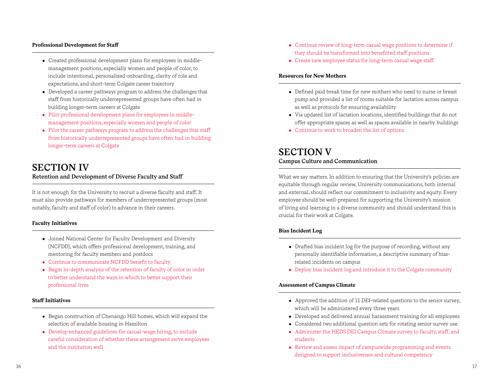### **Professional Development for Staff**

- Created professional development plans for employees in middlemanagement positions, especially women and people of color, to include intentional, personalized onboarding, clarity of role and expectations, and short-term Colgate career trajectory
- Developed a career pathways program to address the challenges that staff from historically underrepresented groups have often had in building longer-term careers at Colgate
- Pilot professional development plans for employees in middlemanagement positions, especially women and people of color
- Pilot the career pathways program to address the challenges that staff from historically underrepresented groups have often had in building longer-term careers at Colgate

# **SECTION IV Retention and Development of Diverse Faculty and Staff**

It is not enough for the University to recruit a diverse faculty and staff. It must also provide pathways for members of underrepresented groups (most notably, faculty and staff of color) to advance in their careers.

# **Faculty Initiatives**

- Joined National Center for Faculty Development and Diversity (NCFDD), which offers professional development, training, and mentoring for faculty members and postdocs
- Continue to communicate NCFDD benefit to faculty
- $\bullet$  Begin in-depth analysis of the retention of faculty of color in order to better understand the ways in which to better support their professional lives

# **Staff Initiatives**

- Began construction of Chenango Hill homes, which will expand the selection of available housing in Hamilton
- Develop enhanced guidelines for casual-wage hiring, to include careful consideration of whether these arrangement serve employees and the institution well
- Continue review of long-term casual wage positions to determine if they should be transformed into benefitted staff positions
- Create new employee status for long-term casual wage staff

### **Resources for New Mothers**

- Defined paid break time for new mothers who need to nurse or breast pump and provided a list of rooms suitable for lactation across campus as well as protocols for ensuring availability
- Via updated list of lactation locations, identified buildings that do not offer appropriate spaces as well as spaces available in nearby buildings
- Continue to work to broaden the list of options

# **SECTION V Campus Culture and Communication**

What we say matters. In addition to ensuring that the University's policies are equitable through regular review, University communications, both internal and external, should reflect our commitment to inclusivity and equity. Every employee should be well-prepared for supporting the University's mission of living and learning in a diverse community and should understand this is crucial for their work at Colgate.

# **Bias Incident Log**

- Drafted bias incident log for the purpose of recording, without any personally identifiable information, a descriptive summary of biasrelated incidents on campus
- Deploy bias incident log and introduce it to the Colgate community

# **Assessment of Campus Climate**

- Approved the addition of 11 DEI-related questions to the senior survey, which will be administered every three years
- Developed and delivered annual harassment training for all employees
- Considered two additional question sets for rotating senior survey use
- Administer the HEDS DEI Campus Climate survey to faculty, staff, and students
- Review and assess impact of campuswide programming and events designed to support inclusiveness and cultural competency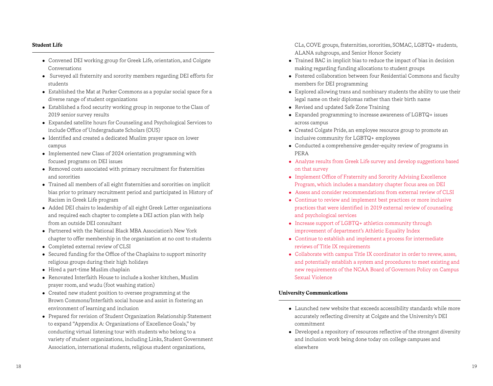# **Student Life**

- Convened DEI working group for Greek Life, orientation, and Colgate Conversations
- Surveyed all fraternity and sorority members regarding DEI efforts for students
- Established the Mat at Parker Commons as a popular social space for a diverse range of student organizations
- $\bullet$  Established a food security working group in response to the Class of 2019 senior survey results
- Expanded satellite hours for Counseling and Psychological Services to include Office of Undergraduate Scholars (OUS)
- Identified and created a dedicated Muslim prayer space on lower campus
- Implemented new Class of 2024 orientation programming with focused programs on DEI issues
- Removed costs associated with primary recruitment for fraternities and sororities
- Trained all members of all eight fraternities and sororities on implicit bias prior to primary recruitment period and participated in History of Racism in Greek Life program
- Added DEI chairs to leadership of all eight Greek Letter organizations and required each chapter to complete a DEI action plan with help from an outside DEI consultant
- Partnered with the National Black MBA Association's New York chapter to offer membership in the organization at no cost to students
- Completed external review of CLSI
- Secured funding for the Office of the Chaplains to support minority religious groups during their high holidays
- $\bullet$  Hired a part-time Muslim chaplain
- Renovated Interfaith House to include a kosher kitchen, Muslim prayer room, and wudu (foot washing station)
- Created new student position to oversee programming at the Brown Commons/Interfaith social house and assist in fostering an environment of learning and inclusion
- Prepared for revision of Student Organization Relationship Statement to expand "Appendix A: Organizations of Excellence Goals," by conducting virtual listening tour with students who belong to a variety of student organizations, including Links, Student Government Association, international students, religious student organizations,

CLs, COVE groups, fraternities, sororities, SOMAC, LGBTQ+ students, ALANA subgroups, and Senior Honor Society

- Trained BAC in implicit bias to reduce the impact of bias in decision making regarding funding allocations to student groups
- Fostered collaboration between four Residential Commons and faculty members for DEI programming
- Explored allowing trans and nonbinary students the ability to use their legal name on their diplomas rather than their birth name
- Revised and updated Safe Zone Training
- Expanded programming to increase awareness of LGBTQ+ issues across campus
- Created Colgate Pride, an employee resource group to promote an inclusive community for LGBTQ+ employees
- Conducted a comprehensive gender-equity review of programs in PERA
- Analyze results from Greek Life survey and develop suggestions based on that survey
- Implement Office of Fraternity and Sorority Advising Excellence Program, which includes a mandatory chapter focus area on DEI
- Assess and consider recommendations from external review of CLSI
- Continue to review and implement best practices or more inclusive practices that were identified in 2019 external review of counseling and psychological services
- Increase support of LGBTQ+ athletics community through improvement of department's Athletic Equality Index
- Continue to establish and implement a process for intermediate reviews of Title IX requirements
- Collaborate with campus Title IX coordinator in order to revew, asses, and potentially establish a system and procedures to meet existing and new requirements of the NCAA Board of Governors Policy on Campus Sexual Violence

# **University Communications**

- Launched new website that exceeds accessibility standards while more accurately reflecting diversity at Colgate and the University's DEI commitment
- Developed a repository of resources reflective of the strongest diversity and inclusion work being done today on college campuses and elsewhere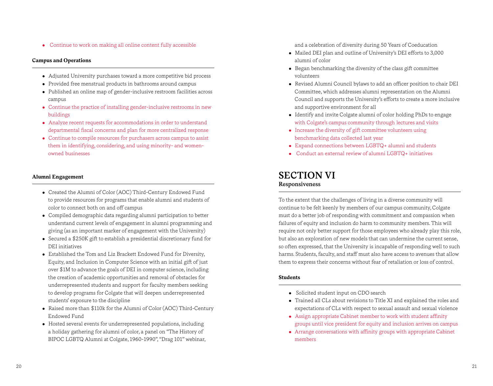• Continue to work on making all online content fully accessible

# **Campus and Operations**

- Adjusted University purchases toward a more competitive bid process
- Provided free menstrual products in bathrooms around campus
- Published an online map of gender-inclusive restroom facilities across campus
- Continue the practice of installing gender-inclusive restrooms in new buildings
- Analyze recent requests for accommodations in order to understand departmental fiscal concerns and plan for more centralized response
- Continue to compile resources for purchasers across campus to assist them in identifying, considering, and using minority- and womenowned businesses

# **Alumni Engagement**

- Created the Alumni of Color (AOC) Third-Century Endowed Fund to provide resources for programs that enable alumni and students of color to connect both on and off campus
- Compiled demographic data regarding alumni participation to better understand current levels of engagement in alumni programming and giving (as an important marker of engagement with the University)
- Secured a \$250K gift to establish a presidential discretionary fund for DEI initiatives
- Established the Tom and Liz Brackett Endowed Fund for Diversity, Equity, and Inclusion in Computer Science with an initial gift of just over \$1M to advance the goals of DEI in computer science, including the creation of academic opportunities and removal of obstacles for underrepresented students and support for faculty members seeking to develop programs for Colgate that will deepen underrepresented students' exposure to the discipline
- Raised more than \$110k for the Alumni of Color (AOC) Third-Century Endowed Fund
- Hosted several events for underrepresented populations, including a holiday gathering for alumni of color, a panel on "The History of BIPOC LGBTQ Alumni at Colgate, 1960-1990", "Drag 101" webinar,

and a celebration of diversity during 50 Years of Coeducation

- Mailed DEI plan and outline of University's DEI efforts to 3,000 alumni of color
- Began benchmarking the diversity of the class gift committee volunteers
- <sup>l</sup> Revised Alumni Council bylaws to add an officer position to chair DEI Committee, which addresses alumni representation on the Alumni Council and supports the University's efforts to create a more inclusive and supportive environment for all
- Identify and invite Colgate alumni of color holding PhDs to engage with Colgate's campus community through lectures and visits
- $\bullet$  Increase the diversity of gift committee volunteers using benchmarking data collected last year
- Expand connections between LGBTQ+ alumni and students
- Conduct an external review of alumni LGBTQ+ initiatives

# **SECTION VI Responsiveness**

To the extent that the challenges of living in a diverse community will continue to be felt keenly by members of our campus community, Colgate must do a better job of responding with commitment and compassion when failures of equity and inclusion do harm to community members. This will require not only better support for those employees who already play this role, but also an exploration of new models that can undermine the current sense, so often expressed, that the University is incapable of responding well to such harms. Students, faculty, and staff must also have access to avenues that allow them to express their concerns without fear of retaliation or loss of control.

# **Students**

- Solicited student input on CDO search
- Trained all CLs about revisions to Title XI and explained the roles and expectations of CLs with respect to sexual assault and sexual violence
- Assign appropriate Cabinet member to work with student affinity groups until vice president for equity and inclusion arrives on campus
- Arrange conversations with affinity groups with appropriate Cabinet members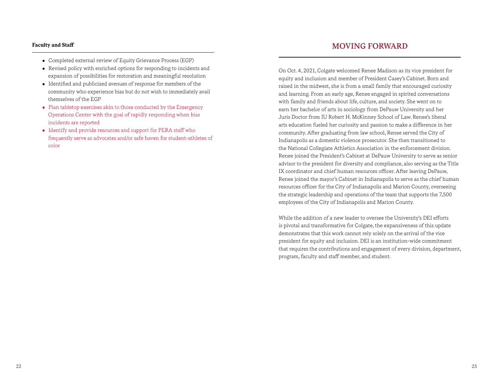### **Faculty and Staff**

- Completed external review of Equity Grievance Process (EGP)
- Revised policy with enriched options for responding to incidents and expansion of possibilities for restoration and meaningful resolution
- Identified and publicized avenues of response for members of the community who experience bias but do not wish to immediately avail themselves of the EGP
- Plan tabletop exercises akin to those conducted by the Emergency Operations Center with the goal of rapidly responding when bias incidents are reported
- Identify and provide resources and support for PERA staff who frequently serve as advocates and/or safe haven for student-athletes of color

# **MOVING FORWARD**

On Oct. 4, 2021, Colgate welcomed Renee Madison as its vice president for equity and inclusion and member of President Casey's Cabinet. Born and raised in the midwest, she is from a small family that encouraged curiosity and learning. From an early age, Renee engaged in spirited conversations with family and friends about life, culture, and society. She went on to earn her bachelor of arts in sociology from DePauw University and her Juris Doctor from IU Robert H. McKinney School of Law. Renee's liberal arts education fueled her curiosity and passion to make a difference in her community. After graduating from law school, Renee served the City of Indianapolis as a domestic violence prosecutor. She then transitioned to the National Collegiate Athletics Association in the enforcement division. Renee joined the President's Cabinet at DePauw University to serve as senior advisor to the president for diversity and compliance, also serving as the Title IX coordinator and chief human resources officer. After leaving DePauw, Renee joined the mayor's Cabinet in Indianapolis to serve as the chief human resources officer for the City of Indianapolis and Marion County, overseeing the strategic leadership and operations of the team that supports the 7,500 employees of the City of Indianapolis and Marion County.

While the addition of a new leader to oversee the University's DEI efforts is pivotal and transformative for Colgate, the expansiveness of this update demonstrates that this work cannot rely solely on the arrival of the vice president for equity and inclusion. DEI is an institution-wide commitment that requires the contributions and engagement of every division, department, program, faculty and staff member, and student.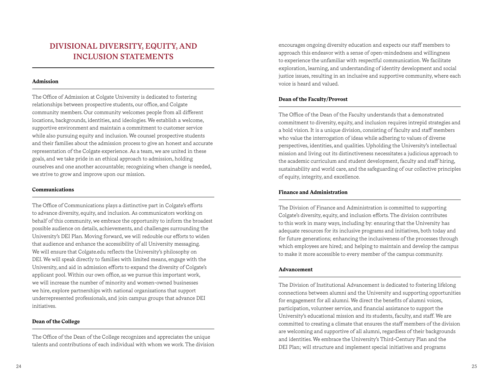# **DIVISIONAL DIVERSITY, EQUITY, AND INCLUSION STATEMENTS**

### **Admission**

The Office of Admission at Colgate University is dedicated to fostering relationships between prospective students, our office, and Colgate community members. Our community welcomes people from all different locations, backgrounds, identities, and ideologies. We establish a welcome, supportive environment and maintain a commitment to customer service while also pursuing equity and inclusion. We counsel prospective students and their families about the admission process to give an honest and accurate representation of the Colgate experience. As a team, we are united in these goals, and we take pride in an ethical approach to admission, holding ourselves and one another accountable; recognizing when change is needed, we strive to grow and improve upon our mission.

#### **Communications**

The Office of Communications plays a distinctive part in Colgate's efforts to advance diversity, equity, and inclusion. As communicators working on behalf of this community, we embrace the opportunity to inform the broadest possible audience on details, achievements, and challenges surrounding the University's DEI Plan. Moving forward, we will redouble our efforts to widen that audience and enhance the accessibility of all University messaging. We will ensure that Colgate.edu reflects the University's philosophy on DEI. We will speak directly to families with limited means, engage with the University, and aid in admission efforts to expand the diversity of Colgate's applicant pool. Within our own office, as we pursue this important work, we will increase the number of minority and women-owned businesses we hire, explore partnerships with national organizations that support underrepresented professionals, and join campus groups that advance DEI initiatives.

# **Dean of the College**

The Office of the Dean of the College recognizes and appreciates the unique talents and contributions of each individual with whom we work. The division encourages ongoing diversity education and expects our staff members to approach this endeavor with a sense of open-mindedness and willingness to experience the unfamiliar with respectful communication. We facilitate exploration, learning, and understanding of identity development and social justice issues, resulting in an inclusive and supportive community, where each voice is heard and valued.

# **Dean of the Faculty/Provost**

The Office of the Dean of the Faculty understands that a demonstrated commitment to diversity, equity, and inclusion requires intrepid strategies and a bold vision. It is a unique division, consisting of faculty and staff members who value the interrogation of ideas while adhering to values of diverse perspectives, identities, and qualities. Upholding the University's intellectual mission and living out its distinctiveness necessitates a judicious approach to the academic curriculum and student development, faculty and staff hiring, sustainability and world care, and the safeguarding of our collective principles of equity, integrity, and excellence.

### **Finance and Administration**

The Division of Finance and Administration is committed to supporting Colgate's diversity, equity, and inclusion efforts. The division contributes to this work in many ways, including by: ensuring that the University has adequate resources for its inclusive programs and initiatives, both today and for future generations; enhancing the inclusiveness of the processes through which employees are hired; and helping to maintain and develop the campus to make it more accessible to every member of the campus community.

### **Advancement**

The Division of Institutional Advancement is dedicated to fostering lifelong connections between alumni and the University and supporting opportunities for engagement for all alumni. We direct the benefits of alumni voices, participation, volunteer service, and financial assistance to support the University's educational mission and its students, faculty, and staff. We are committed to creating a climate that ensures the staff members of the division are welcoming and supportive of all alumni, regardless of their backgrounds and identities. We embrace the University's Third-Century Plan and the DEI Plan; will structure and implement special initiatives and programs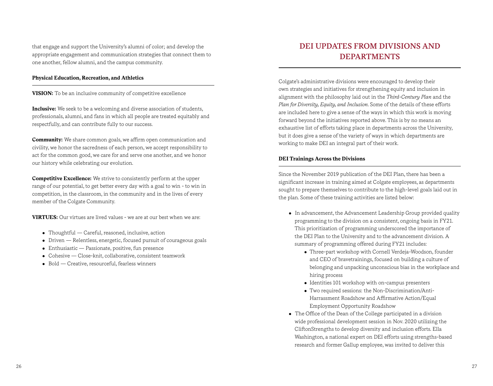that engage and support the University's alumni of color; and develop the appropriate engagement and communication strategies that connect them to one another, fellow alumni, and the campus community.

# **Physical Education, Recreation, and Athletics**

**VISION:** To be an inclusive community of competitive excellence

**Inclusive:** We seek to be a welcoming and diverse association of students, professionals, alumni, and fans in which all people are treated equitably and respectfully, and can contribute fully to our success.

**Community:** We share common goals, we affirm open communication and civility, we honor the sacredness of each person, we accept responsibility to act for the common good, we care for and serve one another, and we honor our history while celebrating our evolution.

**Competitive Excellence:** We strive to consistently perform at the upper range of our potential, to get better every day with a goal to win - to win in competition, in the classroom, in the community and in the lives of every member of the Colgate Community.

**VIRTUES:** Our virtues are lived values - we are at our best when we are:

- Thoughtful Careful, reasoned, inclusive, action
- $\bullet$  Driven Relentless, energetic, focused pursuit of courageous goals
- $\bullet$  Enthusiastic Passionate, positive, fun presence
- Cohesive Close-knit, collaborative, consistent teamwork
- Bold Creative, resourceful, fearless winners

# **DEI UPDATES FROM DIVISIONS AND DEPARTMENTS**

Colgate's administrative divisions were encouraged to develop their own strategies and initiatives for strengthening equity and inclusion in alignment with the philosophy laid out in the *Third-Century Plan* and the *Plan for Diversity, Equity, and Inclusion*. Some of the details of these efforts are included here to give a sense of the ways in which this work is moving forward beyond the initiatives reported above. This is by no means an exhaustive list of efforts taking place in departments across the University, but it does give a sense of the variety of ways in which departments are working to make DEI an integral part of their work.

# **DEI Trainings Across the Divisions**

Since the November 2019 publication of the DEI Plan, there has been a significant increase in training aimed at Colgate employees, as departments sought to prepare themselves to contribute to the high-level goals laid out in the plan. Some of these training activities are listed below:

- In advancement, the Advancement Leadership Group provided quality programming to the division on a consistent, ongoing basis in FY21. This prioritization of programming underscored the importance of the DEI Plan to the University and to the advancement division. A summary of programming offered during FY21 includes:
	- Three-part workshop with Cornell Verdeja-Woodson, founder and CEO of bravetrainings, focused on building a culture of belonging and unpacking unconscious bias in the workplace and hiring process
	- Identities 101 workshop with on-campus presenters
	- Two required sessions: the Non-Discrimination/Anti- Harrassment Roadshow and Affirmative Action/Equal Employment Opportunity Roadshow
- The Office of the Dean of the College participated in a division wide professional development session in Nov. 2020 utilizing the CliftonStrengths to develop diversity and inclusion efforts. Ella Washington, a national expert on DEI efforts using strengths-based research and former Gallup employee, was invited to deliver this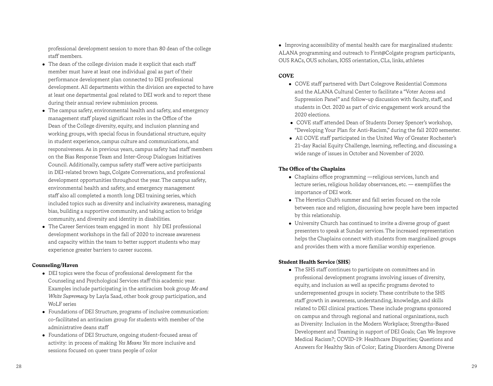professional development session to more than 80 dean of the college staff members.

- The dean of the college division made it explicit that each staff member must have at least one individual goal as part of their performance development plan connected to DEI professional development. All departments within the division are expected to have at least one departmental goal related to DEI work and to report these during their annual review submission process.
- The campus safety, environmental health and safety, and emergency management staff played significant roles in the Office of the Dean of the College diversity, equity, and inclusion planning and working groups, with special focus in foundational structure, equity in student experience, campus culture and communications, and responsiveness. As in previous years, campus safety had staff members on the Bias Response Team and Inter-Group Dialogues Initiatives Council. Additionally, campus safety staff were active participants in DEI-related brown bags, Colgate Conversations, and professional development opportunities throughout the year. The campus safety, environmental health and safety, and emergency management staff also all completed a month long DEI training series, which included topics such as diversity and inclusivity awareness, managing bias, building a supportive community, and taking action to bridge community, and diversity and identity in disabilities.
- The Career Services team engaged in mont hly DEI professional development workshops in the fall of 2020 to increase awareness and capacity within the team to better support students who may experience greater barriers to career success.

# **Counseling/Haven**

- DEI topics were the focus of professional development for the Counseling and Psychological Services staff this academic year. Examples include participating in the antiracism book group *Me and White Supremacy* by Layla Saad, other book group participation, and WoLF series
- Foundations of DEI Structure, programs of inclusive communication: co-facilitated an antiracism group for students with member of the administrative deans staff
- Foundations of DEI Structure, ongoing student-focused areas of activity: in process of making *Yes Means Yes* more inclusive and sessions focused on queer trans people of color

• Improving accessibility of mental health care for marginalized students: ALANA programming and outreach to First@Colgate program participants, OUS RACs, OUS scholars, IOSS orientation, CLs, links, athletes

# **COVE**

- COVE staff partnered with Dart Colegrove Residential Commons and the ALANA Cultural Center to facilitate a "Voter Access and Suppression Panel" and follow-up discussion with faculty, staff, and students in Oct. 2020 as part of civic engagement work around the 2020 elections.
- COVE staff attended Dean of Students Dorsey Spencer's workshop, "Developing Your Plan for Anti-Racism," during the fall 2020 semester.
- All COVE staff participated in the United Way of Greater Rochester's 21-day Racial Equity Challenge, learning, reflecting, and discussing a wide range of issues in October and November of 2020.

# **The Office of the Chaplains**

- Chaplains office programming —religious services, lunch and lecture series, religious holiday observances, etc. — exemplifies the importance of DEI work.
- The Heretics Club's summer and fall series focused on the role between race and religion, discussing how people have been impacted by this relationship.
- University Church has continued to invite a diverse group of guest presenters to speak at Sunday services. The increased representation helps the Chaplains connect with students from marginalized groups and provides them with a more familiar worship experience.

# **Student Health Service (SHS)**

• The SHS staff continues to participate on committees and in professional development programs involving issues of diversity, equity, and inclusion as well as specific programs devoted to underrepresented groups in society. These contribute to the SHS staff growth in awareness, understanding, knowledge, and skills related to DEI clinical practices. These include programs sponsored on campus and through regional and national organizations, such as Diversity: Inclusion in the Modern Workplace; Strengths-Based Development and Teaming in support of DEI Goals; Can We Improve Medical Racism?; COVID-19: Healthcare Disparities; Questions and Answers for Healthy Skin of Color; Eating Disorders Among Diverse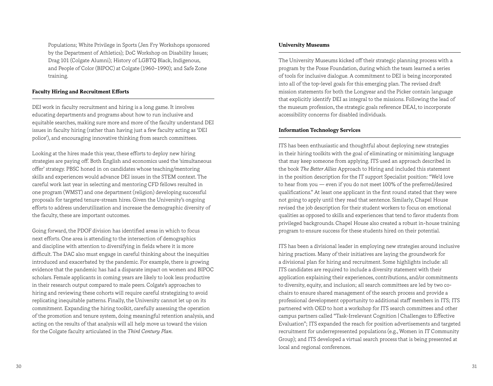Populations; White Privilege in Sports (Jen Fry Workshops sponsored by the Department of Athletics); DoC Workshop on Disability Issues; Drag 101 (Colgate Alumni); History of LGBTQ Black, Indigenous, and People of Color (BIPOC) at Colgate (1960–1990); and Safe Zone training.

#### **Faculty Hiring and Recruitment Efforts**

DEI work in faculty recruitment and hiring is a long game. It involves educating departments and programs about how to run inclusive and equitable searches, making sure more and more of the faculty understand DEI issues in faculty hiring (rather than having just a few faculty acting as 'DEI police'), and encouraging innovative thinking from search committees.

Looking at the hires made this year, these efforts to deploy new hiring strategies are paying off. Both English and economics used the 'simultaneous offer' strategy. PBSC honed in on candidates whose teaching/mentoring skills and experiences would advance DEI issues in the STEM context. The careful work last year in selecting and mentoring CFD fellows resulted in one program (WMST) and one department (religion) developing successful proposals for targeted tenure-stream hires. Given the University's ongoing efforts to address underutilization and increase the demographic diversity of the faculty, these are important outcomes.

Going forward, the PDOF division has identified areas in which to focus next efforts. One area is attending to the intersection of demographics and discipline with attention to diversifying in fields where it is more difficult. The DAC also must engage in careful thinking about the inequities introduced and exacerbated by the pandemic. For example, there is growing evidence that the pandemic has had a disparate impact on women and BIPOC scholars. Female applicants in coming years are likely to look less productive in their research output compared to male peers. Colgate's approaches to hiring and reviewing these cohorts will require careful strategizing to avoid replicating inequitable patterns. Finally, the University cannot let up on its commitment. Expanding the hiring toolkit, carefully assessing the operation of the promotion and tenure system, doing meaningful retention analysis, and acting on the results of that analysis will all help move us toward the vision for the Colgate faculty articulated in the *Third Century Plan*.

# **University Museums**

The University Museums kicked off their strategic planning process with a program by the Posse Foundation, during which the team learned a series of tools for inclusive dialogue. A commitment to DEI is being incorporated into all of the top-level goals for this emerging plan. The revised draft mission statements for both the Longyear and the Picker contain language that explicitly identify DEI as integral to the missions. Following the lead of the museum profession, the strategic goals reference DEAI, to incorporate accessibility concerns for disabled individuals.

#### **Information Technology Services**

ITS has been enthusiastic and thoughtful about deploying new strategies in their hiring toolkits with the goal of eliminating or minimizing language that may keep someone from applying. ITS used an approach described in the book *The Better Allies* Approach to Hiring and included this statement in the position description for the IT support Specialist position: "We'd love to hear from you — even if you do not meet 100% of the preferred/desired qualifications." At least one applicant in the first round stated that they were not going to apply until they read that sentence. Similarly, Chapel House revised the job description for their student workers to focus on emotional qualities as opposed to skills and experiences that tend to favor students from privileged backgrounds. Chapel House also created a robust in-house training program to ensure success for these students hired on their potential.

ITS has been a divisional leader in employing new strategies around inclusive hiring practices. Many of their initiatives are laying the groundwork for a divisional plan for hiring and recruitment. Some highlights include: all ITS candidates are required to include a diversity statement with their application explaining their experiences, contributions, and/or commitments to diversity, equity, and inclusion; all search committees are led by two cochairs to ensure shared management of the search process and provide a professional development opportunity to additional staff members in ITS; ITS partnered with OED to host a workshop for ITS search committees and other campus partners called "Task-Irrelevant Cognition | Challenges to Effective Evaluation"; ITS expanded the reach for position advertisements and targeted recruitment for underrepresented populations (e.g., Women in IT Community Group); and ITS developed a virtual search process that is being presented at local and regional conferences.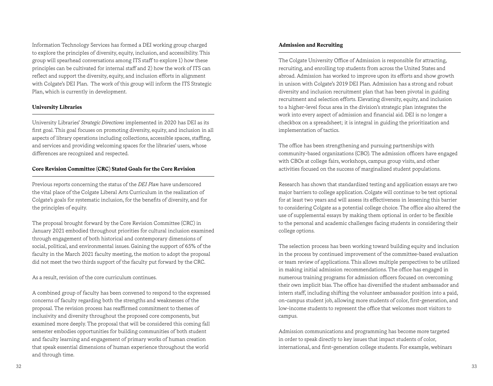Information Technology Services has formed a DEI working group charged to explore the principles of diversity, equity, inclusion, and accessibility. This group will spearhead conversations among ITS staff to explore 1) how these principles can be cultivated for internal staff and 2) how the work of ITS can reflect and support the diversity, equity, and inclusion efforts in alignment with Colgate's DEI Plan. The work of this group will inform the ITS Strategic Plan, which is currently in development.

# **University Libraries**

University Libraries' *Strategic Directions* implemented in 2020 has DEI as its first goal. This goal focuses on promoting diversity, equity, and inclusion in all aspects of library operations including collections, accessible spaces, staffing, and services and providing welcoming spaces for the libraries' users, whose differences are recognized and respected.

### **Core Revision Committee (CRC) Stated Goals for the Core Revision**

Previous reports concerning the status of the *DEI Plan* have underscored the vital place of the Colgate Liberal Arts Curriculum in the realization of Colgate's goals for systematic inclusion, for the benefits of diversity, and for the principles of equity.

The proposal brought forward by the Core Revision Committee (CRC) in January 2021 embodied throughout priorities for cultural inclusion examined through engagement of both historical and contemporary dimensions of social, political, and environmental issues. Gaining the support of 65% of the faculty in the March 2021 faculty meeting, the motion to adopt the proposal did not meet the two thirds support of the faculty put forward by the CRC.

As a result, revision of the core curriculum continues.

A combined group of faculty has been convened to respond to the expressed concerns of faculty regarding both the strengths and weaknesses of the proposal. The revision process has reaffirmed commitment to themes of inclusivity and diversity throughout the proposed core components, but examined more deeply. The proposal that will be considered this coming fall semester embodies opportunities for building communities of both student and faculty learning and engagement of primary works of human creation that speak essential dimensions of human experience throughout the world and through time.

# **Admission and Recruiting**

The Colgate University Office of Admission is responsible for attracting, recruiting, and enrolling top students from across the United States and abroad. Admission has worked to improve upon its efforts and show growth in unison with Colgate's 2019 DEI Plan. Admission has a strong and robust diversity and inclusion recruitment plan that has been pivotal in guiding recruitment and selection efforts. Elevating diversity, equity, and inclusion to a higher-level focus area in the division's strategic plan integrates the work into every aspect of admission and financial aid. DEI is no longer a checkbox on a spreadsheet; it is integral in guiding the prioritization and implementation of tactics.

The office has been strengthening and pursuing partnerships with community-based organizations (CBO). The admission officers have engaged with CBOs at college fairs, workshops, campus group visits, and other activities focused on the success of marginalized student populations.

Research has shown that standardized testing and application essays are two major barriers to college application. Colgate will continue to be test optional for at least two years and will assess its effectiveness in lessening this barrier to considering Colgate as a potential college choice. The office also altered the use of supplemental essays by making them optional in order to be flexible to the personal and academic challenges facing students in considering their college options.

The selection process has been working toward building equity and inclusion in the process by continued improvement of the committee-based evaluation or team review of applications. This allows multiple perspectives to be utilized in making initial admission recommendations. The office has engaged in numerous training programs for admission officers focused on overcoming their own implicit bias. The office has diversified the student ambassador and intern staff, including shifting the volunteer ambassador position into a paid, on-campus student job, allowing more students of color, first-generation, and low-income students to represent the office that welcomes most visitors to campus.

Admission communications and programming has become more targeted in order to speak directly to key issues that impact students of color, international, and first-generation college students. For example, webinars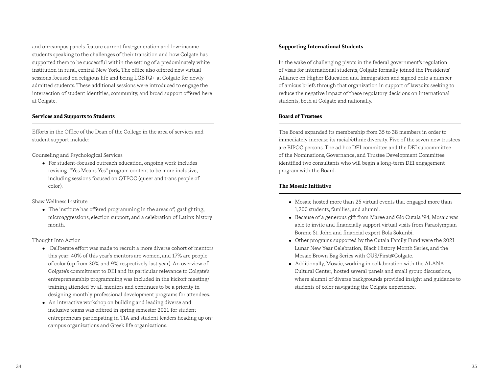and on-campus panels feature current first-generation and low-income students speaking to the challenges of their transition and how Colgate has supported them to be successful within the setting of a predominately white institution in rural, central New York. The office also offered new virtual sessions focused on religious life and being LGBTQ+ at Colgate for newly admitted students. These additional sessions were introduced to engage the intersection of student identities, community, and broad support offered here at Colgate.

### **Services and Supports to Students**

Efforts in the Office of the Dean of the College in the area of services and student support include:

Counseling and Psychological Services

• For student-focused outreach education, ongoing work includes revising "Yes Means Yes" program content to be more inclusive, including sessions focused on QTPOC (queer and trans people of color).

Shaw Wellness Institute

 $\bullet$  The institute has offered programming in the areas of; gaslighting, microaggressions, election support, and a celebration of Latinx history month.

#### Thought Into Action

- Deliberate effort was made to recruit a more diverse cohort of mentors this year: 40% of this year's mentors are women, and 17% are people of color (up from 30% and 9% respectively last year). An overview of Colgate's commitment to DEI and its particular relevance to Colgate's entrepreneurship programming was included in the kickoff meeting/ training attended by all mentors and continues to be a priority in designing monthly professional development programs for attendees.
- An interactive workshop on building and leading diverse and inclusive teams was offered in spring semester 2021 for student entrepreneurs participating in TIA and student leaders heading up oncampus organizations and Greek life organizations.

### **Supporting International Students**

In the wake of challenging pivots in the federal government's regulation of visas for international students, Colgate formally joined the Presidents' Alliance on Higher Education and Immigration and signed onto a number of amicus briefs through that organization in support of lawsuits seeking to reduce the negative impact of these regulatory decisions on international students, both at Colgate and nationally.

# **Board of Trustees**

The Board expanded its membership from 35 to 38 members in order to immediately increase its racial/ethnic diversity. Five of the seven new trustees are BIPOC persons. The ad hoc DEI committee and the DEI subcommittee of the Nominations, Governance, and Trustee Development Committee identified two consultants who will begin a long-term DEI engagement program with the Board.

#### **The Mosaic Initiative**

- Mosaic hosted more than 25 virtual events that engaged more than 1,200 students, families, and alumni.
- Because of a generous gift from Maree and Gio Cutaia '94, Mosaic was able to invite and financially support virtual visits from Paraolympian Bonnie St. John and financial expert Bola Sokunbi.
- Other programs supported by the Cutaia Family Fund were the 2021 Lunar New Year Celebration, Black History Month Series, and the Mosaic Brown Bag Series with OUS/First@Colgate.
- Additionally, Mosaic, working in collaboration with the ALANA Cultural Center, hosted several panels and small group discussions, where alumni of diverse backgrounds provided insight and guidance to students of color navigating the Colgate experience.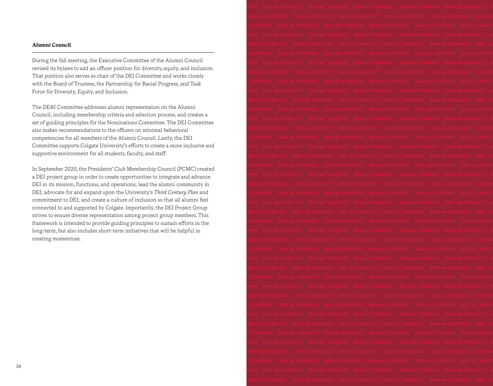# **Alumni Council**

During the fall meeting, the Executive Committee of the Alumni Council revised its bylaws to add an officer position for diversity, equity, and inclusion. That position also serves as chair of the DEI Committee and works closely with the Board of Trustees, the Partnership for Racial Progress, and Task Force for Diversity, Equity, and Inclusion.

The DE&I Committee addresses alumni representation on the Alumni Council, including membership criteria and selection process, and creates a set of guiding principles for the Nominations Committee. The DEI Committee also makes recommendations to the officers on minimal behavioral competencies for all members of the Alumni Council. Lastly, the DEI Committee supports Colgate University's efforts to create a more inclusive and supportive environment for all students, faculty, and staff.

In September 2020, the Presidents' Club Membership Council (PCMC) created a DEI project group in order to create opportunities to integrate and advance DEI in its mission, functions, and operations; lead the alumni community in DEI; advocate for and expand upon the University's *Third Century Plan* and commitment to DEI; and create a culture of inclusion so that all alumni feel connected to and supported by Colgate. Importantly, the DEI Project Group strives to ensure diverse representation among project group members. This framework is intended to provide guiding principles to sustain efforts in the long-term, but also includes short-term initiatives that will be helpful in creating momentum.